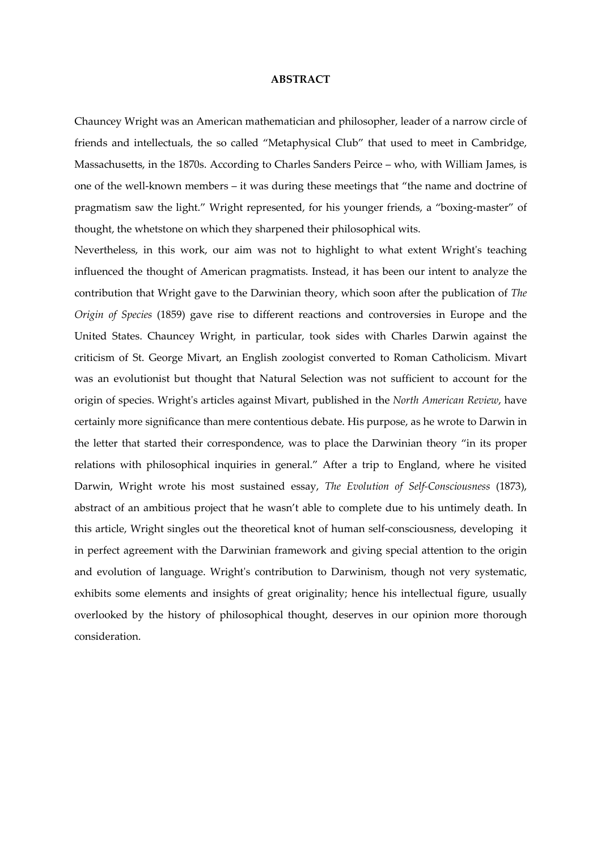## ABSTRACT

Chauncey Wright was an American mathematician and philosopher, leader of a narrow circle of friends and intellectuals, the so called "Metaphysical Club" that used to meet in Cambridge, Massachusetts, in the 1870s. According to Charles Sanders Peirce – who, with William James, is one of the well-known members – it was during these meetings that "the name and doctrine of pragmatism saw the light." Wright represented, for his younger friends, a "boxing-master" of thought, the whetstone on which they sharpened their philosophical wits.

Nevertheless, in this work, our aim was not to highlight to what extent Wright's teaching influenced the thought of American pragmatists. Instead, it has been our intent to analyze the contribution that Wright gave to the Darwinian theory, which soon after the publication of The Origin of Species (1859) gave rise to different reactions and controversies in Europe and the United States. Chauncey Wright, in particular, took sides with Charles Darwin against the criticism of St. George Mivart, an English zoologist converted to Roman Catholicism. Mivart was an evolutionist but thought that Natural Selection was not sufficient to account for the origin of species. Wright's articles against Mivart, published in the North American Review, have certainly more significance than mere contentious debate. His purpose, as he wrote to Darwin in the letter that started their correspondence, was to place the Darwinian theory "in its proper relations with philosophical inquiries in general." After a trip to England, where he visited Darwin, Wright wrote his most sustained essay, The Evolution of Self-Consciousness (1873), abstract of an ambitious project that he wasn't able to complete due to his untimely death. In this article, Wright singles out the theoretical knot of human self-consciousness, developing it in perfect agreement with the Darwinian framework and giving special attention to the origin and evolution of language. Wright's contribution to Darwinism, though not very systematic, exhibits some elements and insights of great originality; hence his intellectual figure, usually overlooked by the history of philosophical thought, deserves in our opinion more thorough consideration.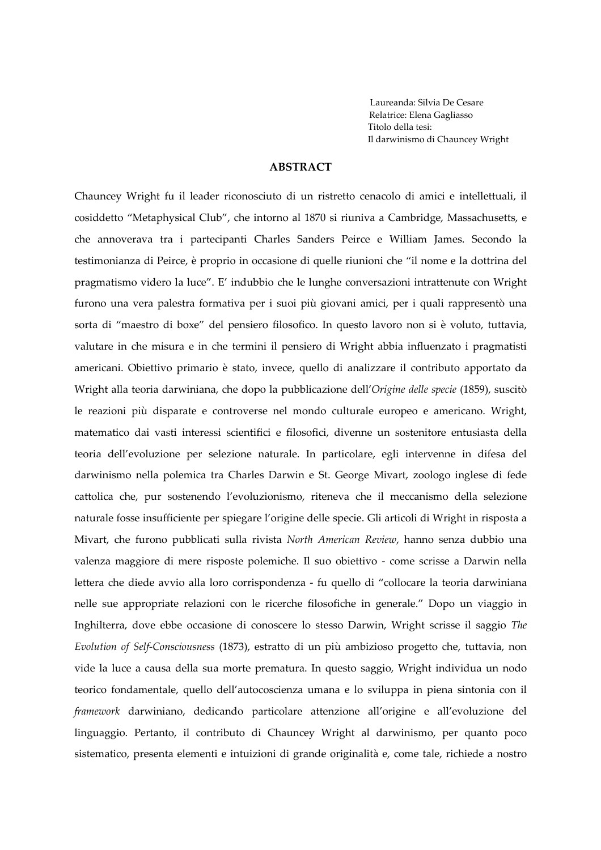Laureanda: Silvia De Cesare Relatrice: Elena Gagliasso Titolo della tesi: Il darwinismo di Chauncey Wright

## ABSTRACT

Chauncey Wright fu il leader riconosciuto di un ristretto cenacolo di amici e intellettuali, il cosiddetto "Metaphysical Club", che intorno al 1870 si riuniva a Cambridge, Massachusetts, e che annoverava tra i partecipanti Charles Sanders Peirce e William James. Secondo la testimonianza di Peirce, è proprio in occasione di quelle riunioni che "il nome e la dottrina del pragmatismo videro la luce". E' indubbio che le lunghe conversazioni intrattenute con Wright furono una vera palestra formativa per i suoi più giovani amici, per i quali rappresentò una sorta di "maestro di boxe" del pensiero filosofico. In questo lavoro non si è voluto, tuttavia, valutare in che misura e in che termini il pensiero di Wright abbia influenzato i pragmatisti americani. Obiettivo primario è stato, invece, quello di analizzare il contributo apportato da Wright alla teoria darwiniana, che dopo la pubblicazione dell'Origine delle specie (1859), suscitò le reazioni più disparate e controverse nel mondo culturale europeo e americano. Wright, matematico dai vasti interessi scientifici e filosofici, divenne un sostenitore entusiasta della teoria dell'evoluzione per selezione naturale. In particolare, egli intervenne in difesa del darwinismo nella polemica tra Charles Darwin e St. George Mivart, zoologo inglese di fede cattolica che, pur sostenendo l'evoluzionismo, riteneva che il meccanismo della selezione naturale fosse insufficiente per spiegare l'origine delle specie. Gli articoli di Wright in risposta a Mivart, che furono pubblicati sulla rivista North American Review, hanno senza dubbio una valenza maggiore di mere risposte polemiche. Il suo obiettivo - come scrisse a Darwin nella lettera che diede avvio alla loro corrispondenza - fu quello di "collocare la teoria darwiniana nelle sue appropriate relazioni con le ricerche filosofiche in generale." Dopo un viaggio in Inghilterra, dove ebbe occasione di conoscere lo stesso Darwin, Wright scrisse il saggio The Evolution of Self-Consciousness (1873), estratto di un più ambizioso progetto che, tuttavia, non vide la luce a causa della sua morte prematura. In questo saggio, Wright individua un nodo teorico fondamentale, quello dell'autocoscienza umana e lo sviluppa in piena sintonia con il framework darwiniano, dedicando particolare attenzione all'origine e all'evoluzione del linguaggio. Pertanto, il contributo di Chauncey Wright al darwinismo, per quanto poco sistematico, presenta elementi e intuizioni di grande originalità e, come tale, richiede a nostro